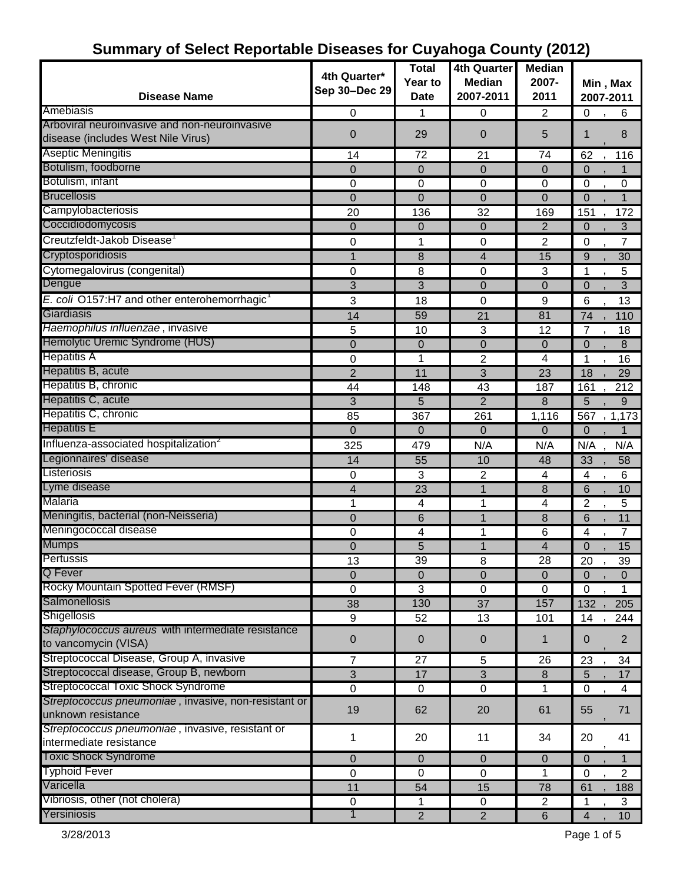|                                                          |                | <b>Total</b>     | <b>4th Quarter</b> | <b>Median</b>           |                         |                 |
|----------------------------------------------------------|----------------|------------------|--------------------|-------------------------|-------------------------|-----------------|
|                                                          | 4th Quarter*   | Year to          | <b>Median</b>      | 2007-                   |                         | Min, Max        |
| <b>Disease Name</b>                                      | Sep 30-Dec 29  | <b>Date</b>      | 2007-2011          | 2011                    |                         | 2007-2011       |
| Amebiasis                                                | $\mathbf 0$    | 1                | 0                  | $\overline{c}$          | 0                       | 6               |
| Arboviral neuroinvasive and non-neuroinvasive            |                |                  |                    |                         |                         |                 |
| disease (includes West Nile Virus)                       | 0              | 29               | 0                  | 5                       | 1                       | 8               |
| <b>Aseptic Meningitis</b>                                | 14             | $\overline{72}$  | 21                 | 74                      | 62                      | 116             |
| Botulism, foodborne                                      | 0              | $\mathbf 0$      | 0                  | 0                       | $\Omega$                |                 |
| Botulism, infant                                         | 0              | 0                | 0                  | 0                       | $\mathbf 0$             | 0               |
| <b>Brucellosis</b>                                       | $\mathbf 0$    | $\mathbf 0$      | $\mathbf 0$        | $\overline{0}$          | 0                       | 1               |
| Campylobacteriosis                                       | 20             | 136              | 32                 | 169                     | 151                     | 172             |
| Coccidiodomycosis                                        | 0              | $\mathbf 0$      | 0                  | $\overline{2}$          | 0                       | 3               |
| Creutzfeldt-Jakob Disease <sup>1</sup>                   | 0              | 1                | 0                  | 2                       | 0                       | $\overline{7}$  |
| Cryptosporidiosis                                        |                | 8                | 4                  | 15                      | 9                       | 30              |
| Cytomegalovirus (congenital)                             | 0              | 8                | 0                  | 3                       | 1                       | 5               |
| Dengue                                                   | 3              | 3                | 0                  | $\mathbf 0$             | 0                       | 3               |
| E. coli O157:H7 and other enterohemorrhagic <sup>1</sup> | 3              | 18               | 0                  | 9                       | 6                       | 13              |
| Giardiasis                                               | 14             | 59               | 21                 | 81                      | 74                      | 110             |
| Haemophilus influenzae, invasive                         | 5              | 10               | 3                  | 12                      | 7                       | 18              |
| Hemolytic Uremic Syndrome (HUS)                          | $\overline{0}$ | $\mathbf 0$      | $\overline{0}$     | $\mathbf 0$             | $\overline{0}$          | 8               |
| <b>Hepatitis A</b>                                       | 0              | 1                | $\overline{c}$     | $\overline{\mathbf{4}}$ | 1                       | 16              |
| Hepatitis B, acute                                       | $\overline{2}$ | 11               | 3                  | 23                      | 18                      | 29              |
| Hepatitis B, chronic                                     | 44             | 148              | 43                 | 187                     | 161                     | 212             |
| Hepatitis C, acute                                       | 3              | 5                | $\overline{2}$     | 8                       | 5                       | 9               |
| Hepatitis C, chronic                                     | 85             | 367              | 261                | 1,116                   | 567                     | , 1,173         |
| <b>Hepatitis E</b>                                       | 0              | $\mathbf 0$      | 0                  | 0                       | 0                       |                 |
| Influenza-associated hospitalization <sup>2</sup>        | 325            | 479              | N/A                | N/A                     | N/A                     | N/A             |
| Legionnaires' disease                                    | 14             | 55               | 10                 | 48                      | 33                      | 58              |
| Listeriosis                                              | 0              | 3                | $\overline{c}$     | 4                       | 4                       | 6               |
| Lyme disease                                             | 4              | 23               | $\mathbf{1}$       | 8                       | 6                       | 10              |
| Malaria                                                  | 1              | 4                | 1                  | 4                       | $\overline{2}$          | 5               |
| Meningitis, bacterial (non-Neisseria)                    | 0              | 6                | $\overline{1}$     | 8                       | 6                       | 11              |
| Meningococcal disease                                    | 0              | 4                | 1                  | 6                       | 4                       | 7               |
|                                                          | $\mathbf 0$    | 5                | $\mathbf{1}$       | 4                       | 0                       | 15              |
| Mumps<br>Pertuss<br>Pertussis                            | 13             | 39               | 8                  | 28                      | 20                      | 39              |
| Q Fever                                                  | $\overline{0}$ | $\mathbf 0$      | $\overline{0}$     | $\mathbf{0}$            | 0                       | $\Omega$        |
| Rocky Mountain Spotted Fever (RMSF)                      | $\mathbf 0$    | $\overline{3}$   | $\mathbf 0$        | 0                       | $\mathbf 0$             | 1               |
| Salmonellosis                                            | 38             | 130              | $\overline{37}$    | 157                     | 132                     | 205             |
| <b>Shigellosis</b>                                       | 9              | 52               | 13                 | 101                     | 14                      | 244             |
| Staphylococcus aureus with intermediate resistance       |                |                  |                    |                         |                         |                 |
| to vancomycin (VISA)                                     | 0              | $\mathbf 0$      | 0                  | 1                       | 0                       | $\overline{2}$  |
| Streptococcal Disease, Group A, invasive                 | $\overline{7}$ | 27               | 5                  | 26                      | 23                      | 34              |
| Streptococcal disease, Group B, newborn                  | 3              | 17               | $\mathfrak{B}$     | 8                       | 5                       | 17              |
| <b>Streptococcal Toxic Shock Syndrome</b>                | $\mathbf 0$    | $\mathbf 0$      | $\mathbf 0$        | $\mathbf{1}$            | 0                       | $\overline{4}$  |
| Streptococcus pneumoniae, invasive, non-resistant or     |                |                  |                    |                         |                         |                 |
| unknown resistance                                       | 19             | 62               | 20                 | 61                      | 55                      | 71              |
| Streptococcus pneumoniae, invasive, resistant or         |                |                  |                    |                         |                         |                 |
| intermediate resistance                                  | 1              | 20               | 11                 | 34                      | 20                      | 41              |
| <b>Toxic Shock Syndrome</b>                              | 0              | $\mathbf{0}$     | 0                  | 0                       | $\Omega$                |                 |
| <b>Typhoid Fever</b>                                     | $\mathbf 0$    | $\boldsymbol{0}$ | $\pmb{0}$          | 1                       | $\mathbf 0$             | $\overline{c}$  |
| Varicella                                                | 11             | 54               | 15                 | 78                      | 61                      | 188             |
| Vibriosis, other (not cholera)                           | $\mathbf 0$    | 1                | 0                  | $\overline{2}$          | 1                       | 3               |
| Yersiniosis                                              | 1              | $\overline{2}$   | $\overline{2}$     | $6\phantom{1}$          | $\overline{\mathbf{4}}$ | 10 <sup>1</sup> |

## **Summary of Select Reportable Diseases for Cuyahoga County (2012)**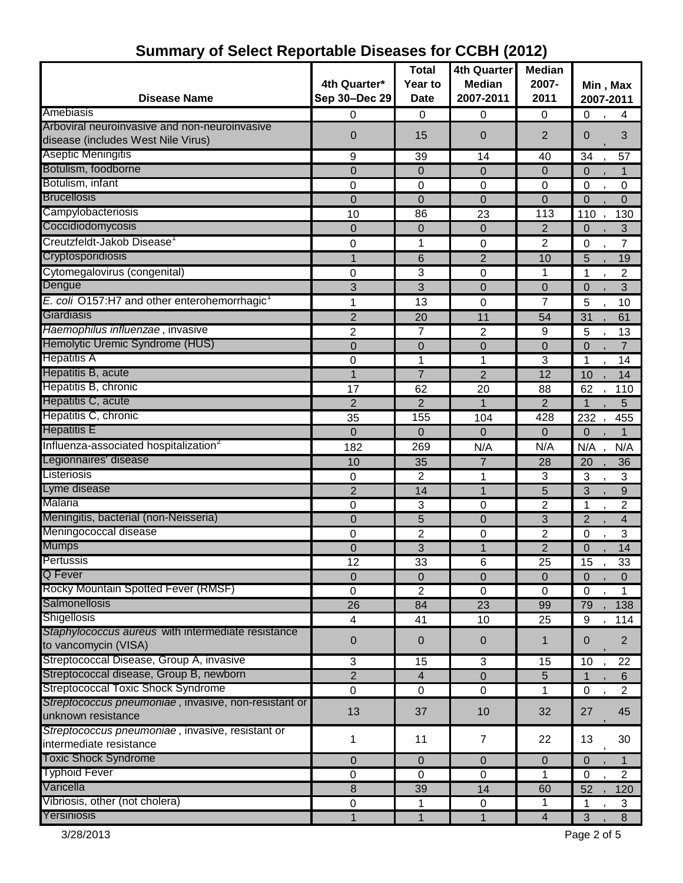| <b>Disease Name</b>                                      | 4th Quarter*<br>Sep 30-Dec 29 | <b>Total</b><br>Year to<br><b>Date</b> | <b>4th Quarter</b><br><b>Median</b><br>2007-2011 | <b>Median</b><br>2007-<br>2011 |                | Min, Max<br>2007-2011 |
|----------------------------------------------------------|-------------------------------|----------------------------------------|--------------------------------------------------|--------------------------------|----------------|-----------------------|
| Amebiasis                                                | 0                             | $\Omega$                               | 0                                                | 0                              | 0              | 4                     |
| Arboviral neuroinvasive and non-neuroinvasive            |                               |                                        |                                                  |                                |                |                       |
| disease (includes West Nile Virus)                       | $\mathbf 0$                   | 15                                     | 0                                                | $\overline{2}$                 | $\Omega$       | 3                     |
| Aseptic Meningitis                                       | 9                             | 39                                     | 14                                               | 40                             | 34             | 57                    |
| Botulism, foodborne                                      | $\mathbf 0$                   | $\mathbf 0$                            | 0                                                | $\mathbf 0$                    | $\Omega$       | 1                     |
| Botulism, infant                                         | 0                             | 0                                      | 0                                                | 0                              | 0              | 0                     |
| <b>Brucellosis</b>                                       | $\mathbf 0$                   | $\mathbf 0$                            | 0                                                | $\mathbf 0$                    | $\Omega$       | $\Omega$              |
| Campylobacteriosis                                       | 10                            | 86                                     | 23                                               | 113                            | 110            | 130                   |
| Coccidiodomycosis                                        | $\mathbf 0$                   | $\overline{0}$                         | $\mathbf 0$                                      | 2                              | $\Omega$       | 3                     |
| Creutzfeldt-Jakob Disease <sup>1</sup>                   | 0                             | 1                                      | 0                                                | $\overline{2}$                 | 0              | 7                     |
| Cryptosporidiosis                                        | 1                             | 6                                      | $\overline{2}$                                   | 10                             | 5              | 19                    |
| Cytomegalovirus (congenital)                             | 0                             | 3                                      | 0                                                | 1                              | 1              | $\overline{2}$        |
| Dengue                                                   | 3                             | 3                                      | $\overline{0}$                                   | $\mathbf 0$                    | $\mathbf 0$    | 3                     |
| E. coli O157:H7 and other enterohemorrhagic <sup>1</sup> | 1                             | 13                                     | 0                                                | 7                              | 5              | 10                    |
| Giardiasis                                               | $\overline{2}$                | 20                                     | 11                                               | 54                             | 31             | 61                    |
| Haemophilus influenzae, invasive                         | $\overline{2}$                | $\overline{7}$                         | $\overline{c}$                                   | $\boldsymbol{9}$               | 5              | 13                    |
| Hemolytic Uremic Syndrome (HUS)                          | $\mathbf 0$                   | 0                                      | $\overline{0}$                                   | $\mathbf 0$                    | $\mathbf 0$    | $\overline{7}$        |
| <b>Hepatitis A</b>                                       | 0                             | 1                                      | 1                                                | 3                              | 1              | 14                    |
| Hepatitis B, acute                                       |                               | $\overline{7}$                         | $\overline{2}$                                   | 12                             | 10             | 14                    |
| Hepatitis B, chronic                                     | 17                            | 62                                     | 20                                               | 88                             | 62             | 110                   |
| Hepatitis C, acute                                       | $\overline{2}$                | $\overline{2}$                         | 1                                                | $\overline{2}$                 |                | 5                     |
| Hepatitis C, chronic                                     | 35                            | 155                                    | 104                                              | 428                            | 232            | 455                   |
| <b>Hepatitis E</b>                                       | $\Omega$                      | $\mathbf 0$                            | $\overline{0}$                                   | $\Omega$                       | $\mathbf 0$    | $\mathbf{1}$          |
| Influenza-associated hospitalization <sup>2</sup>        | 182                           | 269                                    | N/A                                              | N/A                            | N/A            | N/A                   |
| Legionnaires' disease                                    | 10                            | 35                                     | $\overline{7}$                                   | 28                             | 20             | 36                    |
| Listeriosis                                              | 0                             | $\overline{2}$                         | 1                                                | 3                              | 3              | 3                     |
| Lyme disease                                             | $\overline{2}$                | 14                                     | 1                                                | 5                              | 3              | 9                     |
| Malaria                                                  | 0                             | 3                                      | 0                                                | $\overline{2}$                 | 1              | $\overline{2}$        |
| Meningitis, bacterial (non-Neisseria)                    | $\Omega$                      | 5                                      | 0                                                | 3                              | $\overline{2}$ | 4                     |
| Meningococcal disease                                    | 0                             | $\overline{2}$                         | 0                                                | 2                              | $\mathbf 0$    | 3                     |
| <b>Mumps</b>                                             | $\boldsymbol{0}$              | 3                                      | $\overline{1}$                                   | $\overline{2}$                 | $\mathbf 0$    | 14                    |
| Pertussis                                                | 12                            | 33                                     | 6                                                | $\overline{25}$                | 15             | 33                    |
| <b>Q</b> Fever                                           | $\Omega$                      | $\mathbf 0$                            | 0                                                | $\mathbf 0$                    | 0              | $\Omega$              |
| Rocky Mountain Spotted Fever (RMSF)                      | 0                             | $\overline{c}$                         | 0                                                | $\mathbf 0$                    | $\mathbf 0$    | 1                     |
| Salmonellosis                                            | 26                            | 84                                     | 23                                               | 99                             | 79             | 138                   |
| Shigellosis                                              | 4                             | 41                                     | 10                                               | 25                             | 9              | 114                   |
| Staphylococcus aureus with intermediate resistance       |                               |                                        |                                                  |                                |                |                       |
| to vancomycin (VISA)                                     | 0                             | $\mathbf 0$                            | $\pmb{0}$                                        | 1                              | 0              | $\overline{2}$        |
| Streptococcal Disease, Group A, invasive                 | 3                             | 15                                     | 3                                                | 15                             | 10             | 22                    |
| Streptococcal disease, Group B, newborn                  | $\sqrt{2}$                    | $\overline{4}$                         | 0                                                | 5                              | 1              | 6                     |
| <b>Streptococcal Toxic Shock Syndrome</b>                | 0                             | $\mathbf 0$                            | $\mathbf 0$                                      | 1                              | 0              | $\overline{2}$        |
| Streptococcus pneumoniae, invasive, non-resistant or     |                               |                                        |                                                  |                                |                |                       |
| unknown resistance                                       | 13                            | 37                                     | 10                                               | 32                             | 27             | 45                    |
| Streptococcus pneumoniae, invasive, resistant or         |                               |                                        |                                                  |                                |                |                       |
| intermediate resistance                                  | 1                             | 11                                     | 7                                                | 22                             | 13             | 30                    |
| <b>Toxic Shock Syndrome</b>                              | $\Omega$                      | $\Omega$                               | 0                                                | $\Omega$                       | $\Omega$       |                       |
| <b>Typhoid Fever</b>                                     | $\mathbf 0$                   | $\mathbf 0$                            | $\overline{0}$                                   | 1                              | $\mathbf 0$    | $\overline{2}$        |
| Varicella                                                | 8                             | 39                                     | 14                                               | 60                             | 52             | 120                   |
| Vibriosis, other (not cholera)                           | 0                             | 1                                      | $\pmb{0}$                                        | 1                              |                | 3                     |
| Yersiniosis                                              |                               | 1                                      | 1                                                | 4                              | 3              | 8                     |

# **Summary of Select Reportable Diseases for CCBH (2012)**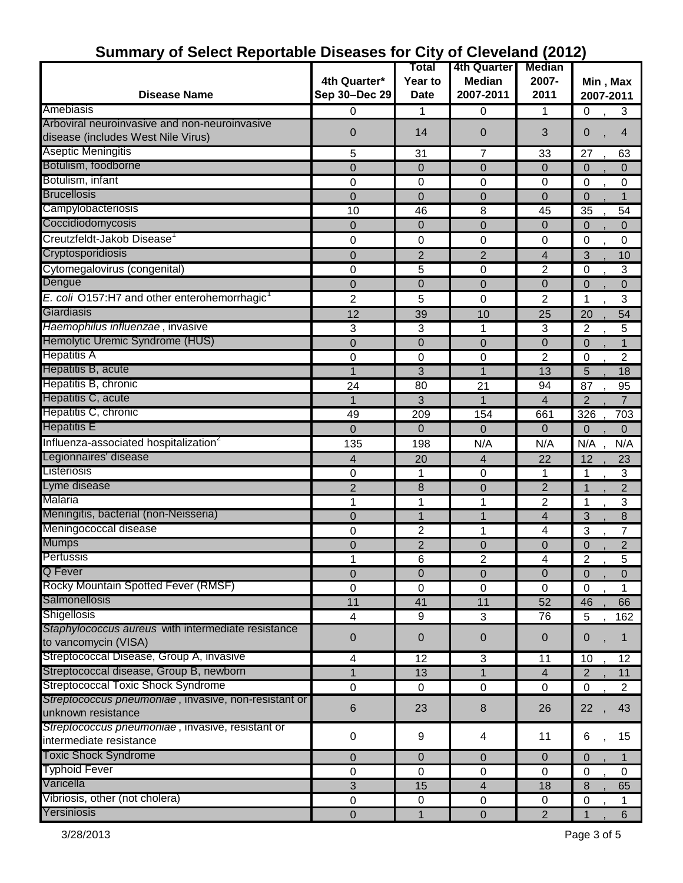| 01 OOIOOL I LOPT                                         |                  | Total                      | 4th Quarter                   | <b>Median</b>  |                |                |
|----------------------------------------------------------|------------------|----------------------------|-------------------------------|----------------|----------------|----------------|
|                                                          | 4th Quarter*     | Year to                    | <b>Median</b>                 | 2007-          | Min, Max       |                |
| <b>Disease Name</b>                                      | Sep 30-Dec 29    | <b>Date</b>                | 2007-2011                     | 2011           | 2007-2011      |                |
| Amebiasis                                                |                  |                            |                               |                |                |                |
| Arboviral neuroinvasive and non-neuroinvasive            | 0                | 1                          | 0                             | 1              | 0              | 3              |
| disease (includes West Nile Virus)                       | $\mathbf 0$      | 14                         | 0                             | 3              | 0              | $\overline{4}$ |
| <b>Aseptic Meningitis</b>                                | 5                | 31                         | $\overline{7}$                | 33             | 27             | 63             |
| Botulism, foodborne                                      | 0                | $\Omega$                   | $\Omega$                      | 0              | $\Omega$       | $\Omega$       |
| Botulism, infant                                         | 0                | 0                          | 0                             | 0              | $\mathbf 0$    | 0              |
| <b>Brucellosis</b>                                       | $\mathbf 0$      | $\mathbf 0$                | $\overline{0}$                | $\mathbf 0$    | $\Omega$       |                |
| Campylobacteriosis                                       | 10               | 46                         | 8                             | 45             | 35             | 54             |
| Coccidiodomycosis                                        | 0                | $\mathbf 0$                | 0                             | 0              | 0              | 0              |
| Creutzfeldt-Jakob Disease                                | 0                | 0                          | 0                             | 0              | 0              | 0              |
| Cryptosporidiosis                                        | 0                | $\overline{2}$             | $\overline{2}$                | 4              | 3              | 10             |
| Cytomegalovirus (congenital)                             | 0                | 5                          | 0                             | $\overline{2}$ | $\Omega$       | 3              |
| Dengue                                                   | $\mathbf 0$      | $\mathbf 0$                | 0                             | $\overline{0}$ | $\Omega$       | $\overline{0}$ |
| E. coli O157:H7 and other enterohemorrhagic <sup>1</sup> | $\overline{2}$   | 5                          | 0                             | $\overline{c}$ | 1              | 3              |
| Giardiasis                                               | 12               | 39                         | 10                            | 25             | 20             | 54             |
| Haemophilus influenzae, invasive                         | 3                | 3                          | 1                             | 3              | $\overline{2}$ | 5              |
| Hemolytic Uremic Syndrome (HUS)                          | 0                | $\mathbf 0$                | 0                             | 0              | $\overline{0}$ |                |
| <b>Hepatitis A</b>                                       | 0                | 0                          | $\mathbf 0$                   | $\overline{2}$ | 0              | $\overline{c}$ |
| Hepatitis B, acute                                       |                  | 3                          |                               | 13             | 5              | 18             |
| Hepatitis B, chronic                                     | 24               | 80                         | 21                            | 94             | 87             | 95             |
| Hepatitis C, acute                                       | 1                | 3                          |                               | 4              | $\overline{2}$ | $\overline{7}$ |
| Hepatitis C, chronic                                     | 49               | 209                        | 154                           | 661            | 326            | 703            |
| <b>Hepatitis E</b>                                       | $\Omega$         | $\mathbf 0$                | $\Omega$                      | 0              | $\Omega$       | $\Omega$       |
| Influenza-associated hospitalization <sup>2</sup>        | 135              | 198                        | N/A                           | N/A            | N/A            | N/A            |
| Legionnaires' disease                                    |                  | 20                         |                               | 22             | 12             | 23             |
| Listeriosis                                              | 4<br>$\mathbf 0$ | 1                          | $\overline{4}$<br>$\mathbf 0$ | 1              | 1              | 3              |
| Lyme disease                                             | 2                | 8                          | $\mathbf 0$                   | $\overline{2}$ | 1              | $\overline{2}$ |
| Malaria                                                  | 1                | 1                          | 1                             | 2              | 1              | 3              |
| Meningitis, bacterial (non-Neisseria)                    |                  | 1                          | 1                             | 4              | 3              |                |
| Meningococcal disease                                    | 0                | $\overline{2}$             | 1                             | 4              |                | 8<br>7         |
| <b>Mumps</b>                                             | 0                |                            |                               |                | 3              |                |
| Pertussis                                                | $\mathbf 0$      | $\overline{2}$             | $\mathbf 0$                   | $\overline{0}$ | $\mathbf 0$    | $\overline{2}$ |
| Q Fever                                                  |                  | 6                          | 2                             | 4              | 2              | 5              |
| Rocky Mountain Spotted Fever (RMSF)                      | $\mathbf 0$      | $\mathbf 0$<br>$\mathbf 0$ | $\mathbf 0$                   | $\mathbf 0$    | $\Omega$       | $\overline{0}$ |
| Salmonellosis                                            | 0                | 41                         | $\mathbf 0$<br>11             | 0<br>52        | $\Omega$       | 1              |
| Shigellosis                                              | 11               |                            | $\mathbf{3}$                  |                | 46             | 66             |
| Staphylococcus aureus with intermediate resistance       | 4                | 9                          |                               | 76             | 5              | 162            |
| to vancomycin (VISA)                                     | $\pmb{0}$        | $\pmb{0}$                  | $\pmb{0}$                     | $\mathbf 0$    | 0              | 1              |
| Streptococcal Disease, Group A, invasive                 | 4                | 12                         | 3                             | 11             | 10             | 12             |
| Streptococcal disease, Group B, newborn                  |                  | 13                         | 1                             | 4              | 2              | 11             |
| <b>Streptococcal Toxic Shock Syndrome</b>                | $\mathbf 0$      | 0                          | $\pmb{0}$                     | 0              | $\mathbf 0$    | $\overline{2}$ |
| Streptococcus pneumoniae, invasive, non-resistant or     |                  |                            |                               |                |                |                |
| unknown resistance                                       | $6\,$            | 23                         | $\bf 8$                       | 26             | 22             | 43             |
| Streptococcus pneumoniae, invasive, resistant or         | $\pmb{0}$        | 9                          | 4                             | 11             | 6              | 15             |
| intermediate resistance<br><b>Toxic Shock Syndrome</b>   |                  |                            |                               |                |                |                |
| <b>Typhoid Fever</b>                                     | $\mathbf{0}$     | $\mathbf 0$                | $\mathbf 0$                   | $\mathbf 0$    | $\Omega$       |                |
| Varicella                                                | $\mathbf 0$      | $\mathbf 0$                | $\pmb{0}$                     | $\mathbf 0$    | $\mathbf 0$    | 0              |
| Vibriosis, other (not cholera)                           | $\mathfrak{B}$   | 15                         | $\overline{4}$                | 18             | 8              | 65             |
| Yersiniosis                                              | $\mathbf 0$      | $\pmb{0}$                  | $\pmb{0}$                     | 0              | 0              | 1              |
|                                                          | 0                | 1                          | $\pmb{0}$                     | $\overline{2}$ | 1              | 6              |

### **Summary of Select Reportable Diseases for City of Cleveland (2012)**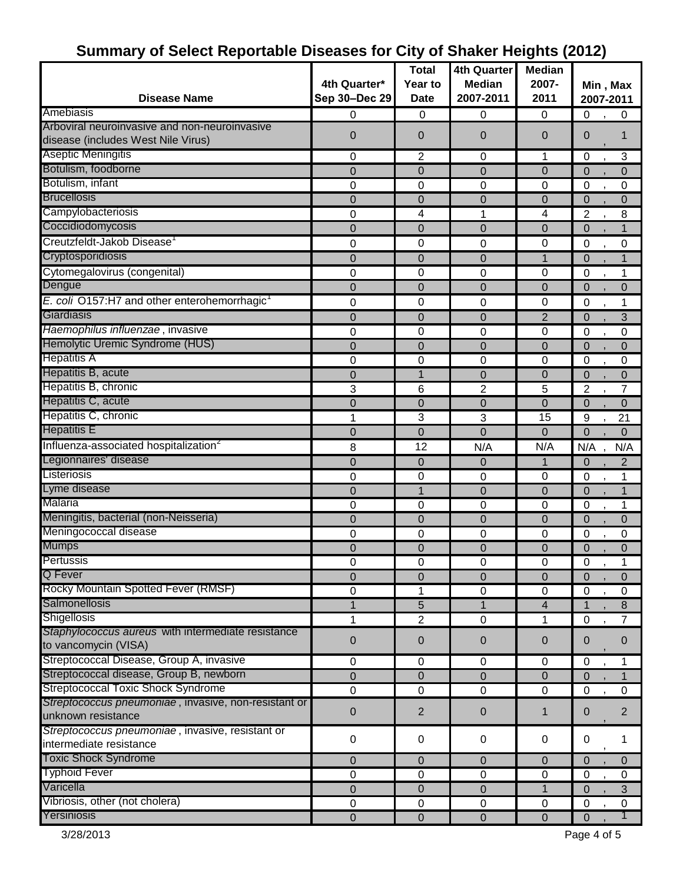|                                                                                     | 4th Quarter*   | <b>Total</b><br>Year to | <b>4th Quarter</b><br><b>Median</b> | <b>Median</b><br>2007- | Min, Max                      |
|-------------------------------------------------------------------------------------|----------------|-------------------------|-------------------------------------|------------------------|-------------------------------|
| <b>Disease Name</b>                                                                 | Sep 30-Dec 29  | <b>Date</b>             | 2007-2011                           | 2011                   | 2007-2011                     |
| Amebiasis                                                                           | 0              | 0                       | 0                                   | 0                      | 0<br>0                        |
| Arboviral neuroinvasive and non-neuroinvasive<br>disease (includes West Nile Virus) | 0              | $\mathbf 0$             | 0                                   | $\overline{0}$         | $\mathbf 0$<br>1              |
| Aseptic Meningitis                                                                  | 0              | $\overline{c}$          | 0                                   | 1                      | 0<br>3                        |
| Botulism, foodborne                                                                 | 0              | $\overline{0}$          | 0                                   | $\mathbf 0$            | $\overline{0}$<br>$\Omega$    |
| Botulism, infant                                                                    | 0              | 0                       | 0                                   | 0                      | $\mathbf 0$<br>0              |
| <b>Brucellosis</b>                                                                  | 0              | $\mathbf 0$             | 0                                   | $\overline{0}$         | $\mathbf 0$<br>$\Omega$       |
| Campylobacteriosis                                                                  | 0              | 4                       | 1                                   | 4                      | $\overline{2}$<br>8           |
| Coccidiodomycosis                                                                   | 0              | $\mathbf 0$             | 0                                   | $\overline{0}$         | 1<br>$\Omega$                 |
| Creutzfeldt-Jakob Disease <sup>1</sup>                                              | 0              | 0                       | 0                                   | 0                      | 0<br>0                        |
| Cryptosporidiosis                                                                   | 0              | $\mathbf 0$             | 0                                   | 1                      | $\mathbf 0$                   |
| Cytomegalovirus (congenital)                                                        | 0              | 0                       | $\mathbf 0$                         | 0                      | 0<br>1                        |
| Dengue                                                                              | 0              | $\mathbf 0$             | 0                                   | $\overline{0}$         | $\mathbf 0$<br>0              |
| E. coli O157:H7 and other enterohemorrhagic <sup>1</sup>                            | 0              | 0                       | 0                                   | 0                      | 0<br>1                        |
| Giardiasis                                                                          | 0              | $\Omega$                | 0                                   | $\overline{2}$         | 3<br>$\Omega$                 |
| Haemophilus influenzae, invasive                                                    | 0              | 0                       | 0                                   | 0                      | $\mathbf 0$<br>0              |
| Hemolytic Uremic Syndrome (HUS)                                                     | 0              | $\mathbf 0$             | 0                                   | $\mathbf 0$            | $\Omega$<br>0                 |
| <b>Hepatitis A</b>                                                                  | 0              | 0                       | 0                                   | 0                      | 0<br>0                        |
| Hepatitis B, acute                                                                  | $\overline{0}$ | $\mathbf 1$             | 0                                   | $\Omega$               | $\Omega$<br>$\Omega$          |
| Hepatitis B, chronic                                                                | 3              | 6                       | 2                                   | 5                      | 2<br>7                        |
| Hepatitis C, acute                                                                  | 0              | $\mathbf 0$             | 0                                   | $\mathbf 0$            | $\mathbf 0$<br>$\overline{0}$ |
| Hepatitis C, chronic                                                                | 1              | 3                       | 3                                   | 15                     | 9<br>21                       |
| <b>Hepatitis E</b>                                                                  | 0              | $\mathbf 0$             | 0                                   | $\mathbf 0$            | $\overline{0}$<br>$\Omega$    |
| Influenza-associated hospitalization <sup>2</sup>                                   | 8              | 12                      | N/A                                 | N/A                    | N/A<br>N/A                    |
| Legionnaires' disease                                                               | 0              | $\mathbf 0$             | 0                                   | $\mathbf 1$            | 2<br>0                        |
| Listeriosis                                                                         | 0              | 0                       | 0                                   | 0                      | 1<br>0                        |
| Lyme disease                                                                        | 0              | 1                       | 0                                   | $\overline{0}$         | $\mathbf 0$<br>1              |
| Malaria                                                                             | 0              | 0                       | 0                                   | $\Omega$               | $\mathbf 0$<br>1              |
| Meningitis, bacterial (non-Neisseria)                                               | 0              | $\mathbf 0$             | 0                                   | $\mathbf 0$            | $\mathbf 0$<br>0              |
| Meningococcal disease                                                               | 0              | 0                       | 0                                   | 0                      | 0<br>0                        |
| <b>Mumps</b>                                                                        | $\Omega$       | $\mathbf 0$             | 0                                   | $\Omega$               | $\mathbf 0$<br>$\Omega$       |
| Pertussis                                                                           | 0              | 0                       | 0                                   | 0                      | 0<br>1<br>$\mathbf{r}$        |
| Q Fever                                                                             | 0              | $\mathbf 0$             | 0                                   | $\mathbf 0$            | $\Omega$<br>$\Omega$          |
| Rocky Mountain Spotted Fever (RMSF)                                                 | 0              | 1                       | $\mathbf 0$                         | 0                      | $\mathbf 0$<br>0              |
| Salmonellosis                                                                       | 1              | 5                       | $\mathbf{1}$                        | 4                      | 1<br>$\boldsymbol{8}$         |
| Shigellosis                                                                         | 1              | $\overline{c}$          | $\mathbf 0$                         | 1                      | $\mathbf 0$<br>7              |
| Staphylococcus aureus with intermediate resistance                                  |                |                         |                                     |                        |                               |
| to vancomycin (VISA)                                                                | 0              | $\mathbf 0$             | $\mathbf 0$                         | $\pmb{0}$              | 0<br>0                        |
| Streptococcal Disease, Group A, invasive                                            | $\pmb{0}$      | $\mathbf 0$             | $\pmb{0}$                           | 0                      | 0<br>1                        |
| Streptococcal disease, Group B, newborn                                             | 0              | $\mathbf 0$             | 0                                   | $\mathbf 0$            | 0<br>1                        |
| <b>Streptococcal Toxic Shock Syndrome</b>                                           | 0              | $\mathbf 0$             | $\mathbf 0$                         | 0                      | $\mathbf 0$<br>0              |
| Streptococcus pneumoniae, invasive, non-resistant or<br>unknown resistance          | 0              | $\overline{2}$          | 0                                   | $\mathbf 1$            | $\overline{2}$<br>0           |
| Streptococcus pneumoniae, invasive, resistant or                                    | 0              | 0                       | 0                                   | $\pmb{0}$              | 0<br>1                        |
| intermediate resistance                                                             |                |                         |                                     |                        |                               |
| <b>Toxic Shock Syndrome</b>                                                         | 0              | $\mathbf 0$             | 0                                   | $\Omega$               | $\Omega$<br>$\Omega$          |
| <b>Typhoid Fever</b>                                                                | $\pmb{0}$      | $\pmb{0}$               | $\pmb{0}$                           | $\pmb{0}$              | $\mathbf 0$<br>0              |
| Varicella                                                                           | 0              | $\pmb{0}$               | 0                                   | 1                      | 0<br>$\mathbf{3}$             |
| Vibriosis, other (not cholera)                                                      | $\mathbf 0$    | $\mathbf 0$             | $\pmb{0}$                           | $\mathbf 0$            | $\mathbf 0$<br>0              |
| Yersiniosis                                                                         | $\mathbf 0$    | $\overline{0}$          | 0                                   | $\mathbf 0$            | $\mathbf{0}$                  |

### **Summary of Select Reportable Diseases for City of Shaker Heights (2012)**